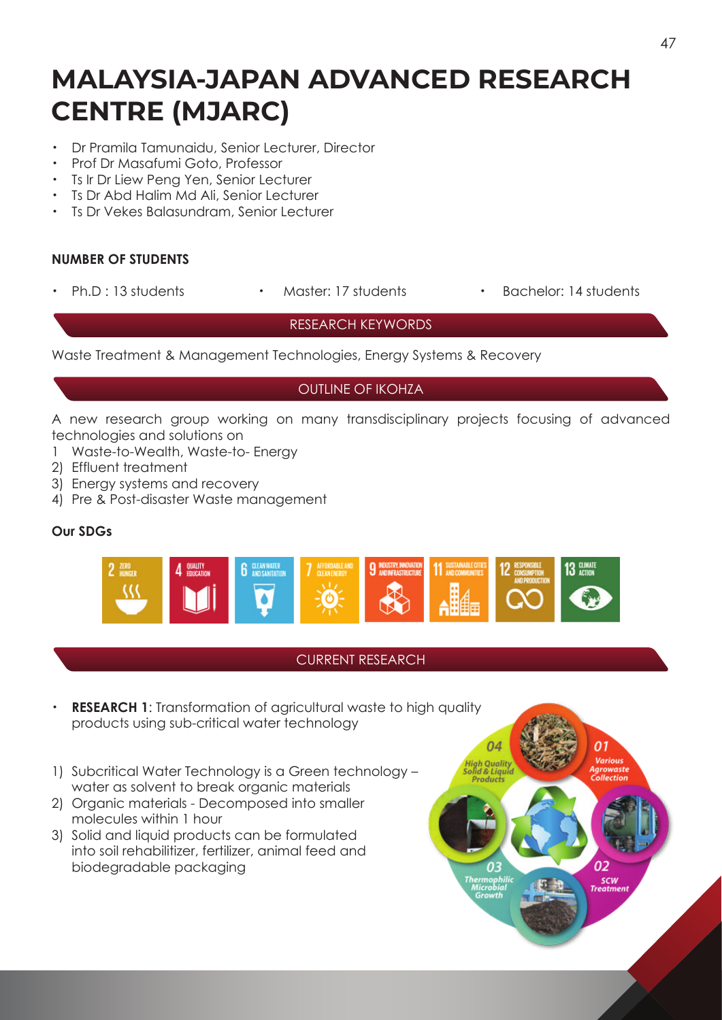# **MALAYSIA-JAPAN ADVANCED RESEARCH CENTRE (MJARC)**

- ・ Dr Pramila Tamunaidu, Senior Lecturer, Director
- ・ Prof Dr Masafumi Goto, Professor
- ・ Ts Ir Dr Liew Peng Yen, Senior Lecturer
- ・ Ts Dr Abd Halim Md Ali, Senior Lecturer
- **Ts Dr Vekes Balasundram, Senior Lecturer**

#### **NUMBER OF STUDENTS**

- 
- 
- Ph.D : 13 students · Master: 17 students · Bachelor: 14 students

#### RESEARCH KEYWORDS

Waste Treatment & Management Technologies, Energy Systems & Recovery

### OUTLINE OF IKOHZA

A new research group working on many transdisciplinary projects focusing of advanced technologies and solutions on

- 1 Waste-to-Wealth, Waste-to- Energy
- 2) Effluent treatment
- 3) Energy systems and recovery
- 4) Pre & Post-disaster Waste management

#### **Our SDGs**



## CURRENT RESEARCH

- **RESEARCH 1:** Transformation of agricultural waste to high quality products using sub-critical water technology
- 1) Subcritical Water Technology is a Green technology water as solvent to break organic materials
- 2) Organic materials Decomposed into smaller molecules within 1 hour
- 3) Solid and liquid products can be formulated into soil rehabilitizer, fertilizer, animal feed and biodegradable packaging